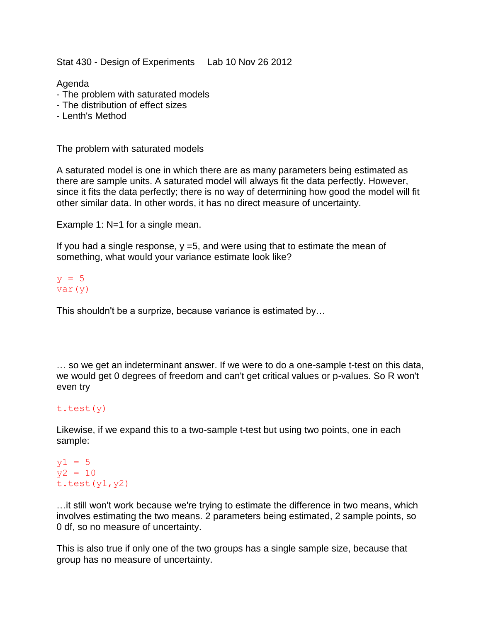Stat 430 - Design of Experiments Lab 10 Nov 26 2012

Agenda

- The problem with saturated models
- The distribution of effect sizes
- Lenth's Method

The problem with saturated models

A saturated model is one in which there are as many parameters being estimated as there are sample units. A saturated model will always fit the data perfectly. However, since it fits the data perfectly; there is no way of determining how good the model will fit other similar data. In other words, it has no direct measure of uncertainty.

Example 1: N=1 for a single mean.

If you had a single response,  $y = 5$ , and were using that to estimate the mean of something, what would your variance estimate look like?

## $y = 5$ var(y)

This shouldn't be a surprize, because variance is estimated by…

… so we get an indeterminant answer. If we were to do a one-sample t-test on this data, we would get 0 degrees of freedom and can't get critical values or p-values. So R won't even try

## t.test(y)

Likewise, if we expand this to a two-sample t-test but using two points, one in each sample:

## $y1 = 5$  $y2 = 10$ t.test $(y1, y2)$

…it still won't work because we're trying to estimate the difference in two means, which involves estimating the two means. 2 parameters being estimated, 2 sample points, so 0 df, so no measure of uncertainty.

This is also true if only one of the two groups has a single sample size, because that group has no measure of uncertainty.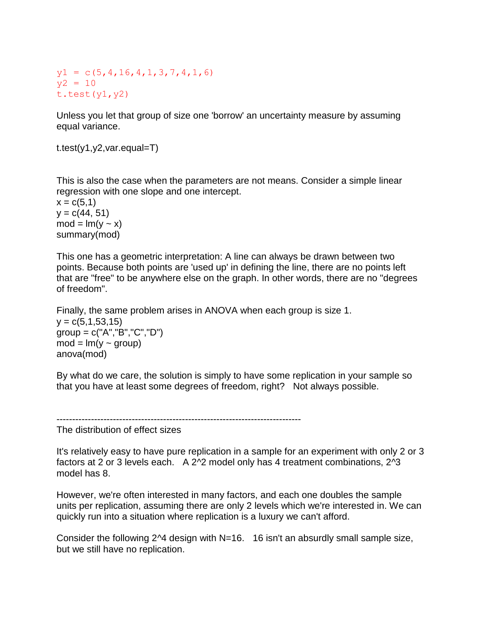$y1 = c(5, 4, 16, 4, 1, 3, 7, 4, 1, 6)$  $y2 = 10$ t.test $(y1, y2)$ 

Unless you let that group of size one 'borrow' an uncertainty measure by assuming equal variance.

t.test(y1,y2,var.equal=T)

This is also the case when the parameters are not means. Consider a simple linear regression with one slope and one intercept.

 $x = c(5,1)$  $y = c(44, 51)$  $mod = lm(y \sim x)$ summary(mod)

This one has a geometric interpretation: A line can always be drawn between two points. Because both points are 'used up' in defining the line, there are no points left that are "free" to be anywhere else on the graph. In other words, there are no "degrees of freedom".

Finally, the same problem arises in ANOVA when each group is size 1.  $v = c(5, 1, 53, 15)$  $group = c("A", "B", "C", "D")$  $mod = lm(y - group)$ anova(mod)

By what do we care, the solution is simply to have some replication in your sample so that you have at least some degrees of freedom, right? Not always possible.

------------------------------------------------------------------------------

The distribution of effect sizes

It's relatively easy to have pure replication in a sample for an experiment with only 2 or 3 factors at 2 or 3 levels each. A 2^2 model only has 4 treatment combinations, 2^3 model has 8.

However, we're often interested in many factors, and each one doubles the sample units per replication, assuming there are only 2 levels which we're interested in. We can quickly run into a situation where replication is a luxury we can't afford.

Consider the following 2 $\overline{4}$  design with N=16. 16 isn't an absurdly small sample size, but we still have no replication.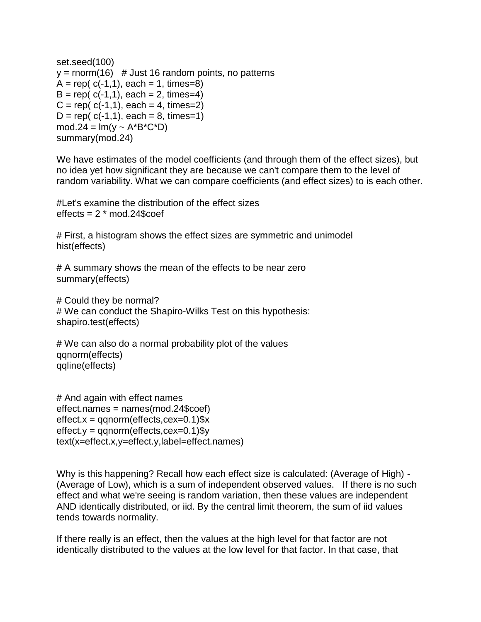```
set.seed(100)
y = \text{norm}(16) # Just 16 random points, no patterns
A = rep(c(-1,1), each = 1, times=8)B = rep(c(-1,1), each = 2, times=4)C = rep(c(-1,1), each = 4, times=2)D = rep(c(-1,1), each = 8, times=1)mod.24 = lm(y ~ A^*B^*C^*D)summary(mod.24)
```
We have estimates of the model coefficients (and through them of the effect sizes), but no idea yet how significant they are because we can't compare them to the level of random variability. What we can compare coefficients (and effect sizes) to is each other.

#Let's examine the distribution of the effect sizes effects  $= 2$  \* mod. 24\$coef

# First, a histogram shows the effect sizes are symmetric and unimodel hist(effects)

# A summary shows the mean of the effects to be near zero summary(effects)

# Could they be normal? # We can conduct the Shapiro-Wilks Test on this hypothesis: shapiro.test(effects)

# We can also do a normal probability plot of the values qqnorm(effects) qqline(effects)

```
# And again with effect names
effect.names = names(mod.24$coef)
effect.x = qqnorm(effects, cex=0.1)$x
effect.y = qqnorm(effects, cex=0.1)$y
text(x=effect.x,y=effect.y,label=effect.names)
```
Why is this happening? Recall how each effect size is calculated: (Average of High) - (Average of Low), which is a sum of independent observed values. If there is no such effect and what we're seeing is random variation, then these values are independent AND identically distributed, or iid. By the central limit theorem, the sum of iid values tends towards normality.

If there really is an effect, then the values at the high level for that factor are not identically distributed to the values at the low level for that factor. In that case, that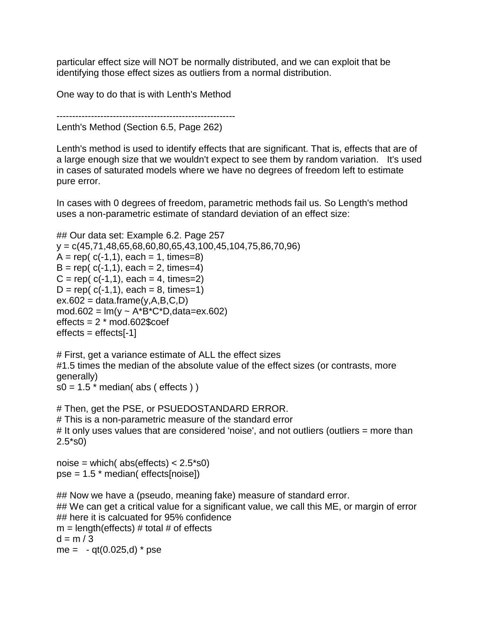particular effect size will NOT be normally distributed, and we can exploit that be identifying those effect sizes as outliers from a normal distribution.

One way to do that is with Lenth's Method

```
---------------------------------------------------------
Lenth's Method (Section 6.5, Page 262)
```
Lenth's method is used to identify effects that are significant. That is, effects that are of a large enough size that we wouldn't expect to see them by random variation. It's used in cases of saturated models where we have no degrees of freedom left to estimate pure error.

In cases with 0 degrees of freedom, parametric methods fail us. So Length's method uses a non-parametric estimate of standard deviation of an effect size:

```
## Our data set: Example 6.2. Page 257
y = c(45,71,48,65,68,60,80,65,43,100,45,104,75,86,70,96)A = rep(c(-1,1), each = 1, times=8)B = rep( c(-1,1), each = 2, times=4)C = rep(c(-1,1), each = 4, times=2)D = rep( c(-1,1), each = 8, times=1)ex.602 = data.frame(y,A,B,C,D)mod.602 = Im(y ~ A^*B^*C^*D, data=ex.602)effects = 2 * mod.602$coeffeffects = effects[-1]
```

```
# First, get a variance estimate of ALL the effect sizes 
#1.5 times the median of the absolute value of the effect sizes (or contrasts, more 
generally)
```

```
s0 = 1.5 * median( abs ( effects ) )
```

```
# Then, get the PSE, or PSUEDOSTANDARD ERROR.
# This is a non-parametric measure of the standard error
# It only uses values that are considered 'noise', and not outliers (outliers = more than 
2.5*s0)
```

```
noise = which(abs(effects) < 2.5*s0)
pse = 1.5 * median( effects[noise])
```

```
## Now we have a (pseudo, meaning fake) measure of standard error.
## We can get a critical value for a significant value, we call this ME, or margin of error
## here it is calcuated for 95% confidence
m = length(effects) # total # of effects
d = m / 3me = -qt(0.025,d) * pse
```